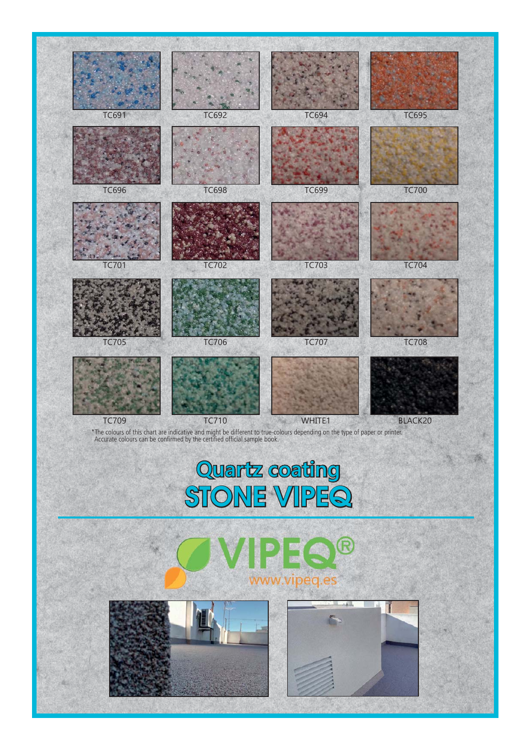